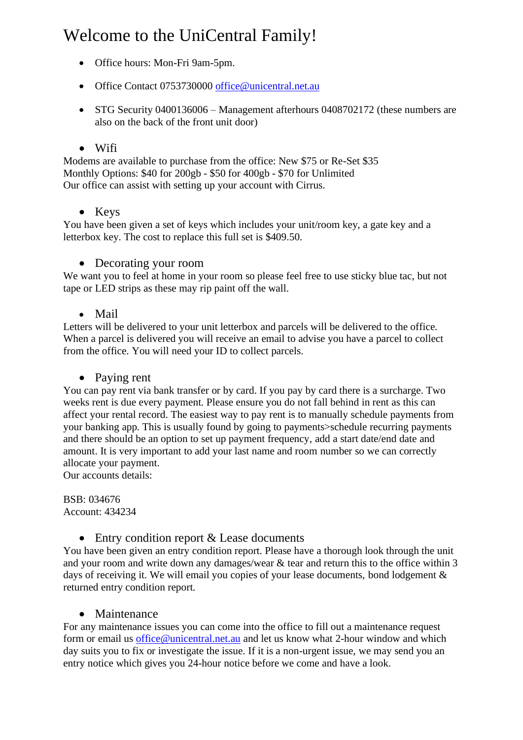# Welcome to the UniCentral Family!

- Office hours: Mon-Fri 9am-5pm.
- Office Contact 0753730000 [office@unicentral.net.au](mailto:office@unicentral.net.au)
- STG Security 0400136006 Management afterhours 0408702172 (these numbers are also on the back of the front unit door)

## • Wifi

Modems are available to purchase from the office: New \$75 or Re-Set \$35 Monthly Options: \$40 for 200gb - \$50 for 400gb - \$70 for Unlimited Our office can assist with setting up your account with Cirrus.

## • Keys

You have been given a set of keys which includes your unit/room key, a gate key and a letterbox key. The cost to replace this full set is \$409.50.

• Decorating your room

We want you to feel at home in your room so please feel free to use sticky blue tac, but not tape or LED strips as these may rip paint off the wall.

• Mail

Letters will be delivered to your unit letterbox and parcels will be delivered to the office. When a parcel is delivered you will receive an email to advise you have a parcel to collect from the office. You will need your ID to collect parcels.

## • Paying rent

You can pay rent via bank transfer or by card. If you pay by card there is a surcharge. Two weeks rent is due every payment. Please ensure you do not fall behind in rent as this can affect your rental record. The easiest way to pay rent is to manually schedule payments from your banking app. This is usually found by going to payments>schedule recurring payments and there should be an option to set up payment frequency, add a start date/end date and amount. It is very important to add your last name and room number so we can correctly allocate your payment.

Our accounts details:

BSB: 034676 Account: 434234

• Entry condition report & Lease documents

You have been given an entry condition report. Please have a thorough look through the unit and your room and write down any damages/wear & tear and return this to the office within 3 days of receiving it. We will email you copies of your lease documents, bond lodgement & returned entry condition report.

## • Maintenance

For any maintenance issues you can come into the office to fill out a maintenance request form or email us [office@unicentral.net.au](mailto:office@unicentral.net.au) and let us know what 2-hour window and which day suits you to fix or investigate the issue. If it is a non-urgent issue, we may send you an entry notice which gives you 24-hour notice before we come and have a look.